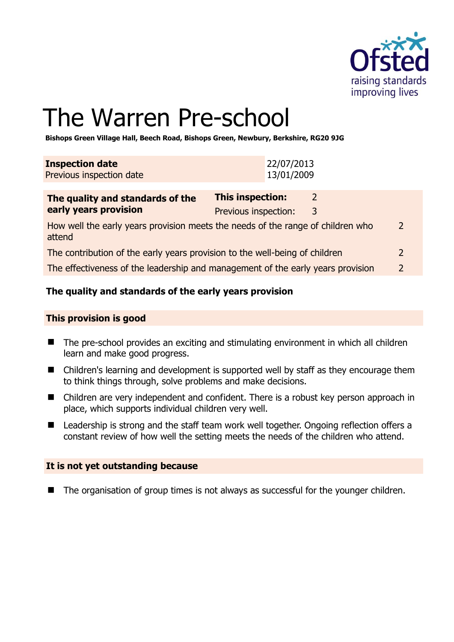

2

# The Warren Pre-school

**Bishops Green Village Hall, Beech Road, Bishops Green, Newbury, Berkshire, RG20 9JG** 

| <b>Inspection date</b><br>Previous inspection date                                        | 22/07/2013<br>13/01/2009                        |        |                |  |
|-------------------------------------------------------------------------------------------|-------------------------------------------------|--------|----------------|--|
| The quality and standards of the<br>early years provision                                 | <b>This inspection:</b><br>Previous inspection: | 2<br>3 |                |  |
| How well the early years provision meets the needs of the range of children who<br>attend |                                                 |        |                |  |
| The contribution of the early years provision to the well-being of children               |                                                 |        | $\overline{2}$ |  |

The effectiveness of the leadership and management of the early years provision 2

# **The quality and standards of the early years provision**

#### **This provision is good**

- The pre-school provides an exciting and stimulating environment in which all children learn and make good progress.
- Children's learning and development is supported well by staff as they encourage them to think things through, solve problems and make decisions.
- Children are very independent and confident. There is a robust key person approach in place, which supports individual children very well.
- Leadership is strong and the staff team work well together. Ongoing reflection offers a constant review of how well the setting meets the needs of the children who attend.

#### **It is not yet outstanding because**

■ The organisation of group times is not always as successful for the younger children.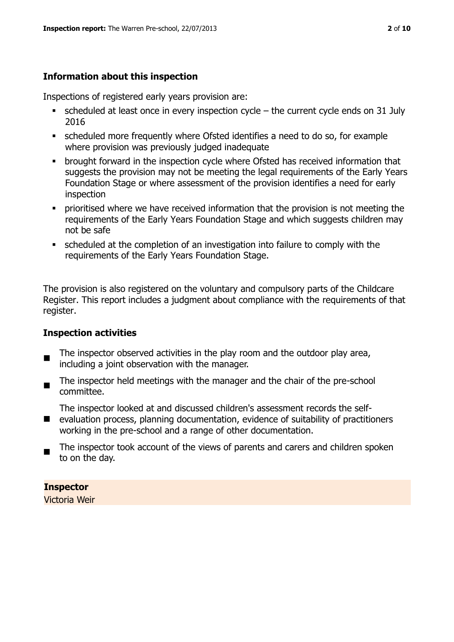# **Information about this inspection**

Inspections of registered early years provision are:

- $\bullet$  scheduled at least once in every inspection cycle the current cycle ends on 31 July 2016
- scheduled more frequently where Ofsted identifies a need to do so, for example where provision was previously judged inadequate
- **•** brought forward in the inspection cycle where Ofsted has received information that suggests the provision may not be meeting the legal requirements of the Early Years Foundation Stage or where assessment of the provision identifies a need for early inspection
- **•** prioritised where we have received information that the provision is not meeting the requirements of the Early Years Foundation Stage and which suggests children may not be safe
- scheduled at the completion of an investigation into failure to comply with the requirements of the Early Years Foundation Stage.

The provision is also registered on the voluntary and compulsory parts of the Childcare Register. This report includes a judgment about compliance with the requirements of that register.

# **Inspection activities**

- п The inspector observed activities in the play room and the outdoor play area, including a joint observation with the manager.
- The inspector held meetings with the manager and the chair of the pre-school committee.

The inspector looked at and discussed children's assessment records the self-

- evaluation process, planning documentation, evidence of suitability of practitioners working in the pre-school and a range of other documentation.
- п The inspector took account of the views of parents and carers and children spoken to on the day.

# **Inspector**

Victoria Weir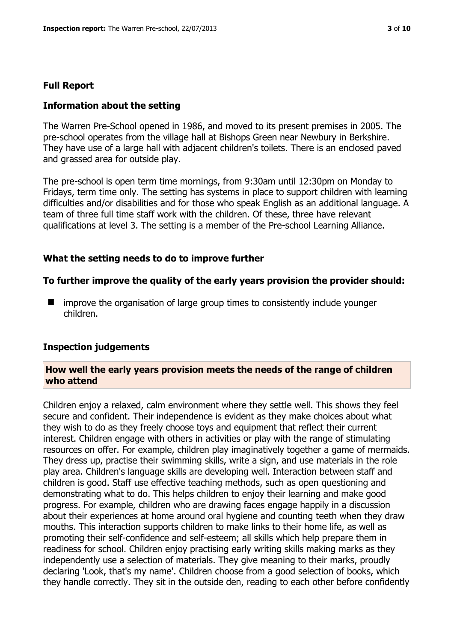#### **Full Report**

#### **Information about the setting**

The Warren Pre-School opened in 1986, and moved to its present premises in 2005. The pre-school operates from the village hall at Bishops Green near Newbury in Berkshire. They have use of a large hall with adjacent children's toilets. There is an enclosed paved and grassed area for outside play.

The pre-school is open term time mornings, from 9:30am until 12:30pm on Monday to Fridays, term time only. The setting has systems in place to support children with learning difficulties and/or disabilities and for those who speak English as an additional language. A team of three full time staff work with the children. Of these, three have relevant qualifications at level 3. The setting is a member of the Pre-school Learning Alliance.

#### **What the setting needs to do to improve further**

#### **To further improve the quality of the early years provision the provider should:**

 $\blacksquare$  improve the organisation of large group times to consistently include younger children.

#### **Inspection judgements**

#### **How well the early years provision meets the needs of the range of children who attend**

Children enjoy a relaxed, calm environment where they settle well. This shows they feel secure and confident. Their independence is evident as they make choices about what they wish to do as they freely choose toys and equipment that reflect their current interest. Children engage with others in activities or play with the range of stimulating resources on offer. For example, children play imaginatively together a game of mermaids. They dress up, practise their swimming skills, write a sign, and use materials in the role play area. Children's language skills are developing well. Interaction between staff and children is good. Staff use effective teaching methods, such as open questioning and demonstrating what to do. This helps children to enjoy their learning and make good progress. For example, children who are drawing faces engage happily in a discussion about their experiences at home around oral hygiene and counting teeth when they draw mouths. This interaction supports children to make links to their home life, as well as promoting their self-confidence and self-esteem; all skills which help prepare them in readiness for school. Children enjoy practising early writing skills making marks as they independently use a selection of materials. They give meaning to their marks, proudly declaring 'Look, that's my name'. Children choose from a good selection of books, which they handle correctly. They sit in the outside den, reading to each other before confidently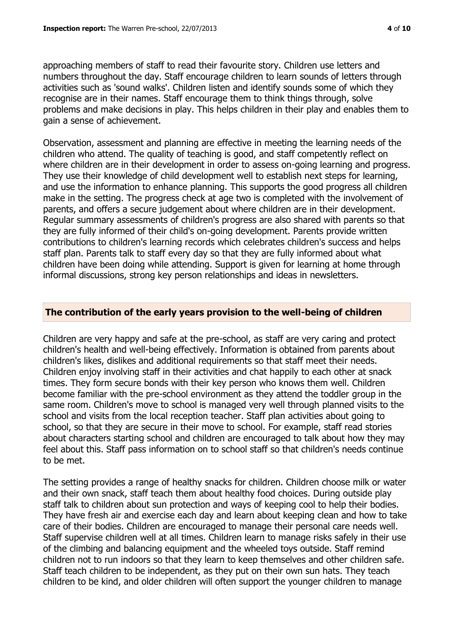approaching members of staff to read their favourite story. Children use letters and numbers throughout the day. Staff encourage children to learn sounds of letters through

activities such as 'sound walks'. Children listen and identify sounds some of which they recognise are in their names. Staff encourage them to think things through, solve problems and make decisions in play. This helps children in their play and enables them to gain a sense of achievement.

Observation, assessment and planning are effective in meeting the learning needs of the children who attend. The quality of teaching is good, and staff competently reflect on where children are in their development in order to assess on-going learning and progress. They use their knowledge of child development well to establish next steps for learning, and use the information to enhance planning. This supports the good progress all children make in the setting. The progress check at age two is completed with the involvement of parents, and offers a secure judgement about where children are in their development. Regular summary assessments of children's progress are also shared with parents so that they are fully informed of their child's on-going development. Parents provide written contributions to children's learning records which celebrates children's success and helps staff plan. Parents talk to staff every day so that they are fully informed about what children have been doing while attending. Support is given for learning at home through informal discussions, strong key person relationships and ideas in newsletters.

# **The contribution of the early years provision to the well-being of children**

Children are very happy and safe at the pre-school, as staff are very caring and protect children's health and well-being effectively. Information is obtained from parents about children's likes, dislikes and additional requirements so that staff meet their needs. Children enjoy involving staff in their activities and chat happily to each other at snack times. They form secure bonds with their key person who knows them well. Children become familiar with the pre-school environment as they attend the toddler group in the same room. Children's move to school is managed very well through planned visits to the school and visits from the local reception teacher. Staff plan activities about going to school, so that they are secure in their move to school. For example, staff read stories about characters starting school and children are encouraged to talk about how they may feel about this. Staff pass information on to school staff so that children's needs continue to be met.

The setting provides a range of healthy snacks for children. Children choose milk or water and their own snack, staff teach them about healthy food choices. During outside play staff talk to children about sun protection and ways of keeping cool to help their bodies. They have fresh air and exercise each day and learn about keeping clean and how to take care of their bodies. Children are encouraged to manage their personal care needs well. Staff supervise children well at all times. Children learn to manage risks safely in their use of the climbing and balancing equipment and the wheeled toys outside. Staff remind children not to run indoors so that they learn to keep themselves and other children safe. Staff teach children to be independent, as they put on their own sun hats. They teach children to be kind, and older children will often support the younger children to manage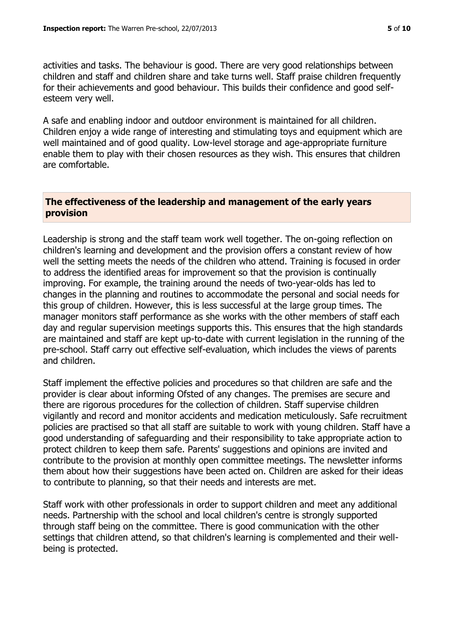activities and tasks. The behaviour is good. There are very good relationships between children and staff and children share and take turns well. Staff praise children frequently for their achievements and good behaviour. This builds their confidence and good selfesteem very well.

A safe and enabling indoor and outdoor environment is maintained for all children. Children enjoy a wide range of interesting and stimulating toys and equipment which are well maintained and of good quality. Low-level storage and age-appropriate furniture enable them to play with their chosen resources as they wish. This ensures that children are comfortable.

## **The effectiveness of the leadership and management of the early years provision**

Leadership is strong and the staff team work well together. The on-going reflection on children's learning and development and the provision offers a constant review of how well the setting meets the needs of the children who attend. Training is focused in order to address the identified areas for improvement so that the provision is continually improving. For example, the training around the needs of two-year-olds has led to changes in the planning and routines to accommodate the personal and social needs for this group of children. However, this is less successful at the large group times. The manager monitors staff performance as she works with the other members of staff each day and regular supervision meetings supports this. This ensures that the high standards are maintained and staff are kept up-to-date with current legislation in the running of the pre-school. Staff carry out effective self-evaluation, which includes the views of parents and children.

Staff implement the effective policies and procedures so that children are safe and the provider is clear about informing Ofsted of any changes. The premises are secure and there are rigorous procedures for the collection of children. Staff supervise children vigilantly and record and monitor accidents and medication meticulously. Safe recruitment policies are practised so that all staff are suitable to work with young children. Staff have a good understanding of safeguarding and their responsibility to take appropriate action to protect children to keep them safe. Parents' suggestions and opinions are invited and contribute to the provision at monthly open committee meetings. The newsletter informs them about how their suggestions have been acted on. Children are asked for their ideas to contribute to planning, so that their needs and interests are met.

Staff work with other professionals in order to support children and meet any additional needs. Partnership with the school and local children's centre is strongly supported through staff being on the committee. There is good communication with the other settings that children attend, so that children's learning is complemented and their wellbeing is protected.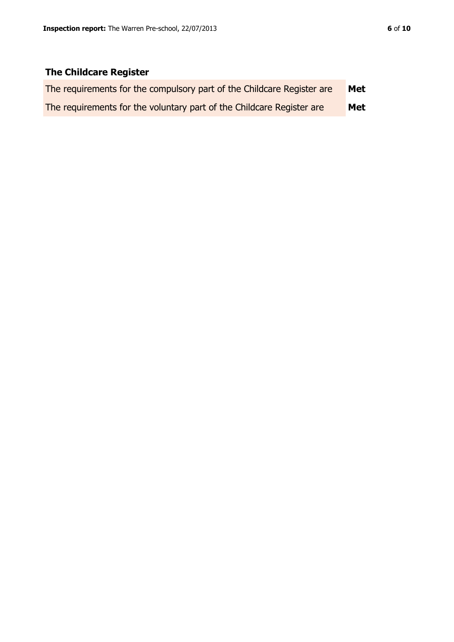# **The Childcare Register**

| The requirements for the compulsory part of the Childcare Register are | Met |
|------------------------------------------------------------------------|-----|
| The requirements for the voluntary part of the Childcare Register are  | Met |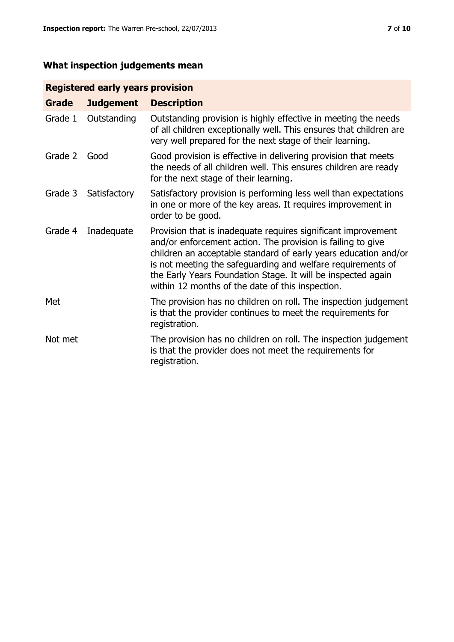# **What inspection judgements mean**

# **Registered early years provision**

| Grade   | <b>Judgement</b> | <b>Description</b>                                                                                                                                                                                                                                                                                                                                                                 |
|---------|------------------|------------------------------------------------------------------------------------------------------------------------------------------------------------------------------------------------------------------------------------------------------------------------------------------------------------------------------------------------------------------------------------|
| Grade 1 | Outstanding      | Outstanding provision is highly effective in meeting the needs<br>of all children exceptionally well. This ensures that children are<br>very well prepared for the next stage of their learning.                                                                                                                                                                                   |
| Grade 2 | Good             | Good provision is effective in delivering provision that meets<br>the needs of all children well. This ensures children are ready<br>for the next stage of their learning.                                                                                                                                                                                                         |
| Grade 3 | Satisfactory     | Satisfactory provision is performing less well than expectations<br>in one or more of the key areas. It requires improvement in<br>order to be good.                                                                                                                                                                                                                               |
| Grade 4 | Inadequate       | Provision that is inadequate requires significant improvement<br>and/or enforcement action. The provision is failing to give<br>children an acceptable standard of early years education and/or<br>is not meeting the safeguarding and welfare requirements of<br>the Early Years Foundation Stage. It will be inspected again<br>within 12 months of the date of this inspection. |
| Met     |                  | The provision has no children on roll. The inspection judgement<br>is that the provider continues to meet the requirements for<br>registration.                                                                                                                                                                                                                                    |
| Not met |                  | The provision has no children on roll. The inspection judgement<br>is that the provider does not meet the requirements for<br>registration.                                                                                                                                                                                                                                        |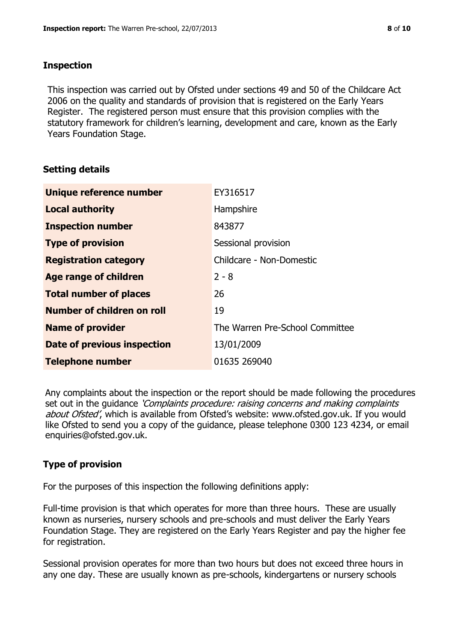### **Inspection**

This inspection was carried out by Ofsted under sections 49 and 50 of the Childcare Act 2006 on the quality and standards of provision that is registered on the Early Years Register. The registered person must ensure that this provision complies with the statutory framework for children's learning, development and care, known as the Early Years Foundation Stage.

# **Setting details**

| Unique reference number            | EY316517                        |
|------------------------------------|---------------------------------|
| <b>Local authority</b>             | Hampshire                       |
| <b>Inspection number</b>           | 843877                          |
| <b>Type of provision</b>           | Sessional provision             |
| <b>Registration category</b>       | Childcare - Non-Domestic        |
| Age range of children              | $2 - 8$                         |
| <b>Total number of places</b>      | 26                              |
| <b>Number of children on roll</b>  | 19                              |
| <b>Name of provider</b>            | The Warren Pre-School Committee |
| <b>Date of previous inspection</b> | 13/01/2009                      |
| <b>Telephone number</b>            | 01635 269040                    |

Any complaints about the inspection or the report should be made following the procedures set out in the guidance *'Complaints procedure: raising concerns and making complaints* about Ofsted', which is available from Ofsted's website: www.ofsted.gov.uk. If you would like Ofsted to send you a copy of the guidance, please telephone 0300 123 4234, or email enquiries@ofsted.gov.uk.

# **Type of provision**

For the purposes of this inspection the following definitions apply:

Full-time provision is that which operates for more than three hours. These are usually known as nurseries, nursery schools and pre-schools and must deliver the Early Years Foundation Stage. They are registered on the Early Years Register and pay the higher fee for registration.

Sessional provision operates for more than two hours but does not exceed three hours in any one day. These are usually known as pre-schools, kindergartens or nursery schools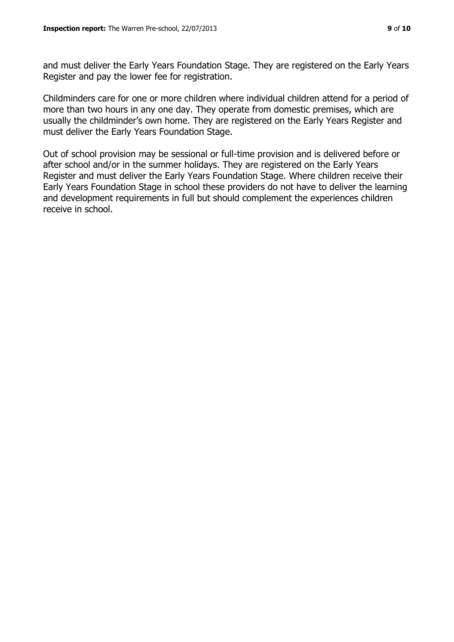and must deliver the Early Years Foundation Stage. They are registered on the Early Years Register and pay the lower fee for registration.

Childminders care for one or more children where individual children attend for a period of more than two hours in any one day. They operate from domestic premises, which are usually the childminder's own home. They are registered on the Early Years Register and must deliver the Early Years Foundation Stage.

Out of school provision may be sessional or full-time provision and is delivered before or after school and/or in the summer holidays. They are registered on the Early Years Register and must deliver the Early Years Foundation Stage. Where children receive their Early Years Foundation Stage in school these providers do not have to deliver the learning and development requirements in full but should complement the experiences children receive in school.